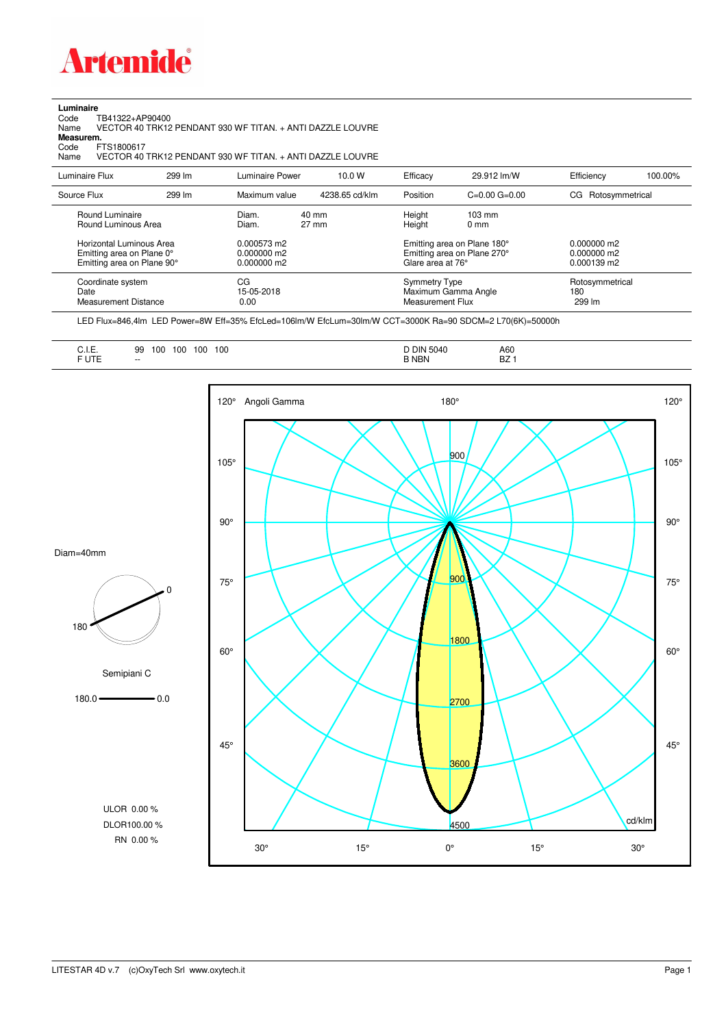

## **Luminaire**

Code TB41322+AP90400 Name VECTOR 40 TRK12 PENDANT 930 WF TITAN. + ANTI DAZZLE LOUVRE Code TI<br>Name V<br>**Measurem.** 

Code FTS1800617<br>Name VECTOR 40 Name VECTOR 40 TRK12 PENDANT 930 WF TITAN. + ANTI DAZZLE LOUVRE

| Luminaire Flux                                                                                  | 299 lm | Luminaire Power                                | 10.0 W                   | Efficacy          | 29.912 lm/W                                                                                      | Efficiency                     | 100.00%         |
|-------------------------------------------------------------------------------------------------|--------|------------------------------------------------|--------------------------|-------------------|--------------------------------------------------------------------------------------------------|--------------------------------|-----------------|
| Source Flux                                                                                     | 299 lm | Maximum value                                  | 4238.65 cd/klm           | Position          | $C=0.00$ $G=0.00$                                                                                | CG Rotosymmetrical             |                 |
| Round Luminaire<br>Round Luminous Area<br>Horizontal Luminous Area<br>Emitting area on Plane 0° |        | Diam.<br>Diam.<br>0.000573 m2<br>$0.000000$ m2 | 40 mm<br>$27 \text{ mm}$ | Height<br>Height  | $103 \text{ mm}$<br>$0 \text{ mm}$<br>Emitting area on Plane 180°<br>Emitting area on Plane 270° | $0.000000$ m2<br>$0.000000$ m2 |                 |
| Emitting area on Plane 90°                                                                      |        | $0.000000$ m2                                  |                          | Glare area at 76° |                                                                                                  | $0.000139$ m2                  |                 |
| Coordinate system<br>Date<br>Measurement Distance                                               |        | CG<br>15-05-2018<br>0.00                       |                          |                   | <b>Symmetry Type</b><br>Maximum Gamma Angle<br>Measurement Flux                                  |                                | Rotosymmetrical |

LED Flux=846,4lm LED Power=8W Eff=35% EfcLed=106lm/W EfcLum=30lm/W CCT=3000K Ra=90 SDCM=2 L70(6K)=50000h